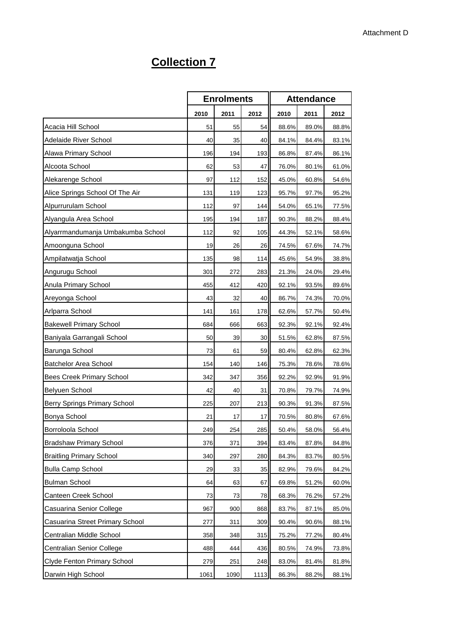## **Collection 7**

|                                   | <b>Enrolments</b> |      | <b>Attendance</b> |       |       |       |
|-----------------------------------|-------------------|------|-------------------|-------|-------|-------|
|                                   | 2010              | 2011 | 2012              | 2010  | 2011  | 2012  |
| Acacia Hill School                | 51                | 55   | 54                | 88.6% | 89.0% | 88.8% |
| Adelaide River School             | 40                | 35   | 40                | 84.1% | 84.4% | 83.1% |
| Alawa Primary School              | 196               | 194  | 193               | 86.8% | 87.4% | 86.1% |
| Alcoota School                    | 62                | 53   | 47                | 76.0% | 80.1% | 61.0% |
| Alekarenge School                 | 97                | 112  | 152               | 45.0% | 60.8% | 54.6% |
| Alice Springs School Of The Air   | 131               | 119  | 123               | 95.7% | 97.7% | 95.2% |
| Alpurrurulam School               | 112               | 97   | 144               | 54.0% | 65.1% | 77.5% |
| Alyangula Area School             | 195               | 194  | 187               | 90.3% | 88.2% | 88.4% |
| Alyarrmandumanja Umbakumba School | 112               | 92   | 105               | 44.3% | 52.1% | 58.6% |
| Amoonguna School                  | 19                | 26   | 26                | 74.5% | 67.6% | 74.7% |
| Ampilatwatja School               | 135               | 98   | 114               | 45.6% | 54.9% | 38.8% |
| Angurugu School                   | 301               | 272  | 283               | 21.3% | 24.0% | 29.4% |
| Anula Primary School              | 455               | 412  | 420               | 92.1% | 93.5% | 89.6% |
| Areyonga School                   | 43                | 32   | 40                | 86.7% | 74.3% | 70.0% |
| Arlparra School                   | 141               | 161  | 178               | 62.6% | 57.7% | 50.4% |
| <b>Bakewell Primary School</b>    | 684               | 666  | 663               | 92.3% | 92.1% | 92.4% |
| Baniyala Garrangali School        | 50                | 39   | 30                | 51.5% | 62.8% | 87.5% |
| Barunga School                    | 73                | 61   | 59                | 80.4% | 62.8% | 62.3% |
| <b>Batchelor Area School</b>      | 154               | 140  | 146               | 75.3% | 78.6% | 78.6% |
| Bees Creek Primary School         | 342               | 347  | 356               | 92.2% | 92.9% | 91.9% |
| <b>Belyuen School</b>             | 42                | 40   | 31                | 70.8% | 79.7% | 74.9% |
| Berry Springs Primary School      | 225               | 207  | 213               | 90.3% | 91.3% | 87.5% |
| Bonya School                      | 21                | 17   | 17                | 70.5% | 80.8% | 67.6% |
| Borroloola School                 | 249               | 254  | 285               | 50.4% | 58.0% | 56.4% |
| <b>Bradshaw Primary School</b>    | 376               | 371  | 394               | 83.4% | 87.8% | 84.8% |
| <b>Braitling Primary School</b>   | 340               | 297  | 280               | 84.3% | 83.7% | 80.5% |
| <b>Bulla Camp School</b>          | 29                | 33   | 35                | 82.9% | 79.6% | 84.2% |
| <b>Bulman School</b>              | 64                | 63   | 67                | 69.8% | 51.2% | 60.0% |
| Canteen Creek School              | 73                | 73   | 78                | 68.3% | 76.2% | 57.2% |
| Casuarina Senior College          | 967               | 900  | 868               | 83.7% | 87.1% | 85.0% |
| Casuarina Street Primary School   | 277               | 311  | 309               | 90.4% | 90.6% | 88.1% |
| Centralian Middle School          | 358               | 348  | 315               | 75.2% | 77.2% | 80.4% |
| Centralian Senior College         | 488               | 444  | 436               | 80.5% | 74.9% | 73.8% |
| Clyde Fenton Primary School       | 279               | 251  | 248               | 83.0% | 81.4% | 81.8% |
| Darwin High School                | 1061              | 1090 | 1113              | 86.3% | 88.2% | 88.1% |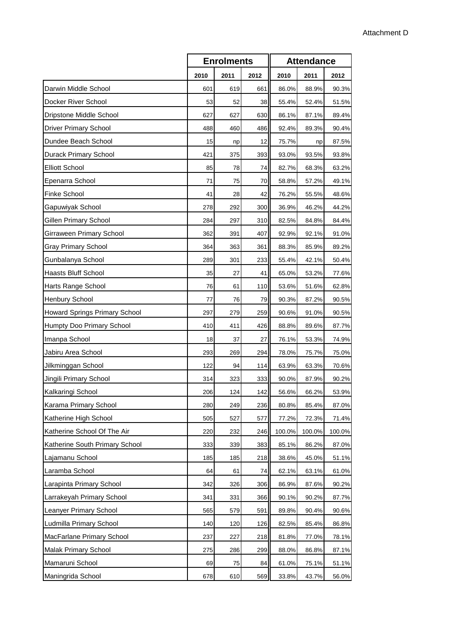|                                | <b>Enrolments</b> |      |      | <b>Attendance</b> |        |        |  |
|--------------------------------|-------------------|------|------|-------------------|--------|--------|--|
|                                | 2010              | 2011 | 2012 | 2010              | 2011   | 2012   |  |
| Darwin Middle School           | 601               | 619  | 661  | 86.0%             | 88.9%  | 90.3%  |  |
| Docker River School            | 53                | 52   | 38   | 55.4%             | 52.4%  | 51.5%  |  |
| Dripstone Middle School        | 627               | 627  | 630  | 86.1%             | 87.1%  | 89.4%  |  |
| <b>Driver Primary School</b>   | 488               | 460  | 486  | 92.4%             | 89.3%  | 90.4%  |  |
| Dundee Beach School            | 15                | np   | 12   | 75.7%             | np     | 87.5%  |  |
| Durack Primary School          | 421               | 375  | 393  | 93.0%             | 93.5%  | 93.8%  |  |
| <b>Elliott School</b>          | 85                | 78   | 74   | 82.7%             | 68.3%  | 63.2%  |  |
| Epenarra School                | 71                | 75   | 70   | 58.8%             | 57.2%  | 49.1%  |  |
| Finke School                   | 41                | 28   | 42   | 76.2%             | 55.5%  | 48.6%  |  |
| Gapuwiyak School               | 278               | 292  | 300  | 36.9%             | 46.2%  | 44.2%  |  |
| <b>Gillen Primary School</b>   | 284               | 297  | 310  | 82.5%             | 84.8%  | 84.4%  |  |
| Girraween Primary School       | 362               | 391  | 407  | 92.9%             | 92.1%  | 91.0%  |  |
| <b>Gray Primary School</b>     | 364               | 363  | 361  | 88.3%             | 85.9%  | 89.2%  |  |
| Gunbalanya School              | 289               | 301  | 233  | 55.4%             | 42.1%  | 50.4%  |  |
| <b>Haasts Bluff School</b>     | 35                | 27   | 41   | 65.0%             | 53.2%  | 77.6%  |  |
| Harts Range School             | 76                | 61   | 110  | 53.6%             | 51.6%  | 62.8%  |  |
| Henbury School                 | 77                | 76   | 79   | 90.3%             | 87.2%  | 90.5%  |  |
| Howard Springs Primary School  | 297               | 279  | 259  | 90.6%             | 91.0%  | 90.5%  |  |
| Humpty Doo Primary School      | 410               | 411  | 426  | 88.8%             | 89.6%  | 87.7%  |  |
| Imanpa School                  | 18                | 37   | 27   | 76.1%             | 53.3%  | 74.9%  |  |
| Jabiru Area School             | 293               | 269  | 294  | 78.0%             | 75.7%  | 75.0%  |  |
| Jilkminggan School             | 122               | 94   | 114  | 63.9%             | 63.3%  | 70.6%  |  |
| Jingili Primary School         | 314               | 323  | 333  | 90.0%             | 87.9%  | 90.2%  |  |
| Kalkaringi School              | 206               | 124  | 142  | 56.6%             | 66.2%  | 53.9%  |  |
| Karama Primary School          | 280               | 249  | 236  | 80.8%             | 85.4%  | 87.0%  |  |
| Katherine High School          | 505               | 527  | 577  | 77.2%             | 72.3%  | 71.4%  |  |
| Katherine School Of The Air    | 220               | 232  | 246  | 100.0%            | 100.0% | 100.0% |  |
| Katherine South Primary School | 333               | 339  | 383  | 85.1%             | 86.2%  | 87.0%  |  |
| Lajamanu School                | 185               | 185  | 218  | 38.6%             | 45.0%  | 51.1%  |  |
| Laramba School                 | 64                | 61   | 74   | 62.1%             | 63.1%  | 61.0%  |  |
| Larapinta Primary School       | 342               | 326  | 306  | 86.9%             | 87.6%  | 90.2%  |  |
| Larrakeyah Primary School      | 341               | 331  | 366  | 90.1%             | 90.2%  | 87.7%  |  |
| Leanyer Primary School         | 565               | 579  | 591  | 89.8%             | 90.4%  | 90.6%  |  |
| Ludmilla Primary School        | 140               | 120  | 126  | 82.5%             | 85.4%  | 86.8%  |  |
| MacFarlane Primary School      | 237               | 227  | 218  | 81.8%             | 77.0%  | 78.1%  |  |
| Malak Primary School           | 275               | 286  | 299  | 88.0%             | 86.8%  | 87.1%  |  |
| Mamaruni School                | 69                | 75   | 84   | 61.0%             | 75.1%  | 51.1%  |  |
| Maningrida School              | 678               | 610  | 569  | 33.8%             | 43.7%  | 56.0%  |  |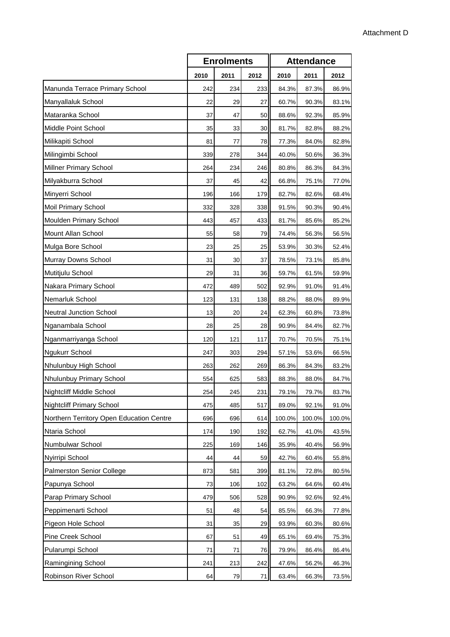|                                          | <b>Enrolments</b> |      |      | <b>Attendance</b> |        |        |
|------------------------------------------|-------------------|------|------|-------------------|--------|--------|
|                                          | 2010              | 2011 | 2012 | 2010              | 2011   | 2012   |
| Manunda Terrace Primary School           | 242               | 234  | 233  | 84.3%             | 87.3%  | 86.9%  |
| Manyallaluk School                       | 22                | 29   | 27   | 60.7%             | 90.3%  | 83.1%  |
| Mataranka School                         | 37                | 47   | 50   | 88.6%             | 92.3%  | 85.9%  |
| Middle Point School                      | 35                | 33   | 30   | 81.7%             | 82.8%  | 88.2%  |
| Milikapiti School                        | 81                | 77   | 78   | 77.3%             | 84.0%  | 82.8%  |
| Milingimbi School                        | 339               | 278  | 344  | 40.0%             | 50.6%  | 36.3%  |
| Millner Primary School                   | 264               | 234  | 246  | 80.8%             | 86.3%  | 84.3%  |
| Milyakburra School                       | 37                | 45   | 42   | 66.8%             | 75.1%  | 77.0%  |
| Minyerri School                          | 196               | 166  | 179  | 82.7%             | 82.6%  | 68.4%  |
| Moil Primary School                      | 332               | 328  | 338  | 91.5%             | 90.3%  | 90.4%  |
| Moulden Primary School                   | 443               | 457  | 433  | 81.7%             | 85.6%  | 85.2%  |
| Mount Allan School                       | 55                | 58   | 79   | 74.4%             | 56.3%  | 56.5%  |
| Mulga Bore School                        | 23                | 25   | 25   | 53.9%             | 30.3%  | 52.4%  |
| Murray Downs School                      | 31                | 30   | 37   | 78.5%             | 73.1%  | 85.8%  |
| Mutitjulu School                         | 29                | 31   | 36   | 59.7%             | 61.5%  | 59.9%  |
| Nakara Primary School                    | 472               | 489  | 502  | 92.9%             | 91.0%  | 91.4%  |
| Nemarluk School                          | 123               | 131  | 138  | 88.2%             | 88.0%  | 89.9%  |
| <b>Neutral Junction School</b>           | 13                | 20   | 24   | 62.3%             | 60.8%  | 73.8%  |
| Nganambala School                        | 28                | 25   | 28   | 90.9%             | 84.4%  | 82.7%  |
| Nganmarriyanga School                    | 120               | 121  | 117  | 70.7%             | 70.5%  | 75.1%  |
| Ngukurr School                           | 247               | 303  | 294  | 57.1%             | 53.6%  | 66.5%  |
| Nhulunbuy High School                    | 263               | 262  | 269  | 86.3%             | 84.3%  | 83.2%  |
| Nhulunbuy Primary School                 | 554               | 625  | 583  | 88.3%             | 88.0%  | 84.7%  |
| <b>Nightcliff Middle School</b>          | 254               | 245  | 231  | 79.1%             | 79.7%  | 83.7%  |
| <b>Nightcliff Primary School</b>         | 475               | 485  | 517  | 89.0%             | 92.1%  | 91.0%  |
| Northern Territory Open Education Centre | 696               | 696  | 614  | 100.0%            | 100.0% | 100.0% |
| Ntaria School                            | 174               | 190  | 192  | 62.7%             | 41.0%  | 43.5%  |
| Numbulwar School                         | 225               | 169  | 146  | 35.9%             | 40.4%  | 56.9%  |
| Nyirripi School                          | 44                | 44   | 59   | 42.7%             | 60.4%  | 55.8%  |
| <b>Palmerston Senior College</b>         | 873               | 581  | 399  | 81.1%             | 72.8%  | 80.5%  |
| Papunya School                           | 73                | 106  | 102  | 63.2%             | 64.6%  | 60.4%  |
| Parap Primary School                     | 479               | 506  | 528  | 90.9%             | 92.6%  | 92.4%  |
| Peppimenarti School                      | 51                | 48   | 54   | 85.5%             | 66.3%  | 77.8%  |
| Pigeon Hole School                       | 31                | 35   | 29   | 93.9%             | 60.3%  | 80.6%  |
| Pine Creek School                        | 67                | 51   | 49   | 65.1%             | 69.4%  | 75.3%  |
| Pularumpi School                         | 71                | 71   | 76   | 79.9%             | 86.4%  | 86.4%  |
| Ramingining School                       | 241               | 213  | 242  | 47.6%             | 56.2%  | 46.3%  |
| Robinson River School                    | 64                | 79   | 71   | 63.4%             | 66.3%  | 73.5%  |